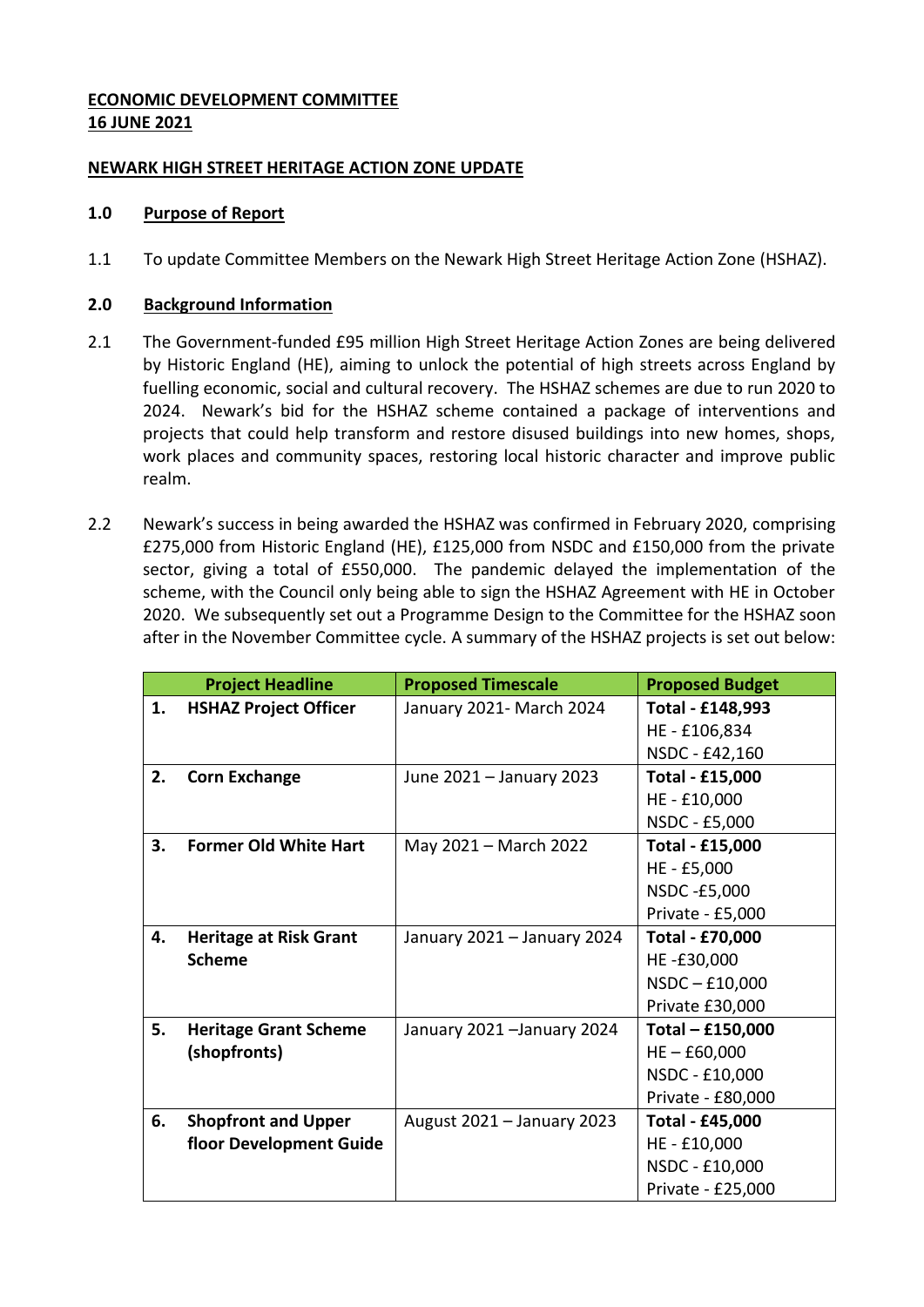# **ECONOMIC DEVELOPMENT COMMITTEE 16 JUNE 2021**

## **NEWARK HIGH STREET HERITAGE ACTION ZONE UPDATE**

### **1.0 Purpose of Report**

1.1 To update Committee Members on the Newark High Street Heritage Action Zone (HSHAZ).

## **2.0 Background Information**

- 2.1 The Government-funded £95 million High Street Heritage Action Zones are being delivered by Historic England (HE), aiming to unlock the potential of high streets across England by fuelling economic, social and cultural recovery. The HSHAZ schemes are due to run 2020 to 2024. Newark's bid for the HSHAZ scheme contained a package of interventions and projects that could help transform and restore disused buildings into new homes, shops, work places and community spaces, restoring local historic character and improve public realm.
- 2.2 Newark's success in being awarded the HSHAZ was confirmed in February 2020, comprising £275,000 from Historic England (HE), £125,000 from NSDC and £150,000 from the private sector, giving a total of £550,000. The pandemic delayed the implementation of the scheme, with the Council only being able to sign the HSHAZ Agreement with HE in October 2020. We subsequently set out a Programme Design to the Committee for the HSHAZ soon after in the November Committee cycle. A summary of the HSHAZ projects is set out below:

|    | <b>Project Headline</b>       | <b>Proposed Timescale</b>   | <b>Proposed Budget</b> |  |
|----|-------------------------------|-----------------------------|------------------------|--|
| 1. | <b>HSHAZ Project Officer</b>  | January 2021- March 2024    | Total - £148,993       |  |
|    |                               |                             | HE-£106,834            |  |
|    |                               |                             | NSDC - £42,160         |  |
| 2. | <b>Corn Exchange</b>          | June 2021 - January 2023    | <b>Total - £15,000</b> |  |
|    |                               |                             | HE - £10,000           |  |
|    |                               |                             | NSDC - £5,000          |  |
| 3. | <b>Former Old White Hart</b>  | May 2021 - March 2022       | Total - £15,000        |  |
|    |                               |                             | HE - £5,000            |  |
|    |                               |                             | NSDC-£5,000            |  |
|    |                               |                             | Private - £5,000       |  |
| 4. | <b>Heritage at Risk Grant</b> | January 2021 – January 2024 | <b>Total - £70,000</b> |  |
|    | <b>Scheme</b>                 |                             | HE-£30,000             |  |
|    |                               |                             | $NSDC - £10,000$       |  |
|    |                               |                             | Private £30,000        |  |
| 5. | <b>Heritage Grant Scheme</b>  | January 2021 - January 2024 | Total - £150,000       |  |
|    | (shopfronts)                  |                             | $HE - £60,000$         |  |
|    |                               |                             | NSDC - £10,000         |  |
|    |                               |                             | Private - £80,000      |  |
| 6. | <b>Shopfront and Upper</b>    | August 2021 - January 2023  | Total - £45,000        |  |
|    | floor Development Guide       |                             | HE - £10,000           |  |
|    |                               |                             | NSDC - £10,000         |  |
|    |                               |                             | Private - £25,000      |  |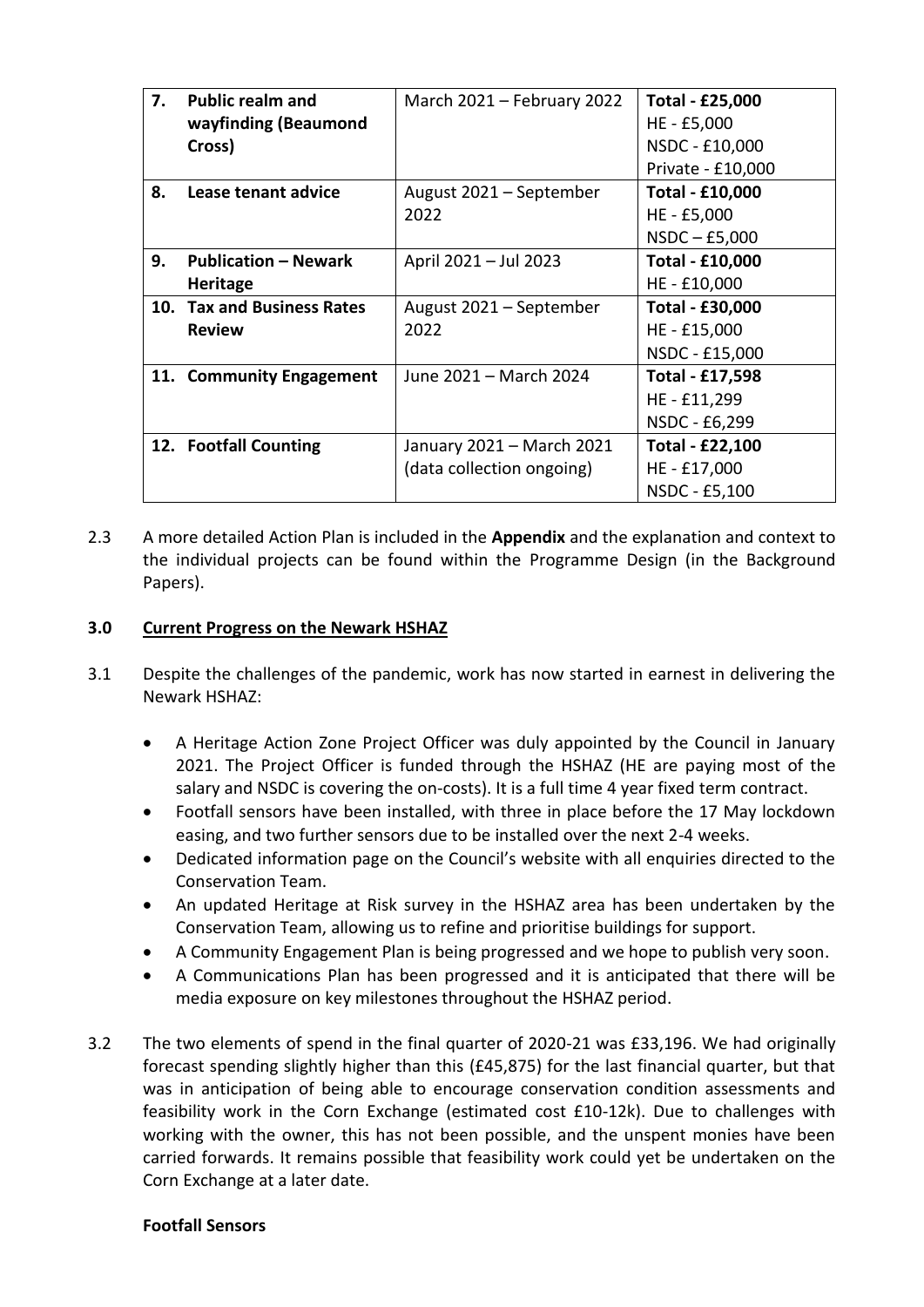| 7. | <b>Public realm and</b>     | March 2021 – February 2022 | <b>Total - £25,000</b> |  |
|----|-----------------------------|----------------------------|------------------------|--|
|    | wayfinding (Beaumond        |                            | HE - £5,000            |  |
|    | Cross)                      |                            | NSDC - £10,000         |  |
|    |                             |                            | Private - £10,000      |  |
| 8. | Lease tenant advice         | August 2021 – September    | Total - £10,000        |  |
|    |                             | 2022                       | HE - £5,000            |  |
|    |                             |                            | $NSDC - E5,000$        |  |
| 9. | <b>Publication – Newark</b> | April 2021 - Jul 2023      | Total - £10,000        |  |
|    | <b>Heritage</b>             |                            | HE - £10,000           |  |
|    | 10. Tax and Business Rates  | August 2021 – September    | Total - £30,000        |  |
|    | <b>Review</b>               | 2022                       | HE - £15,000           |  |
|    |                             |                            | NSDC - £15,000         |  |
|    | 11. Community Engagement    | June 2021 - March 2024     | Total - £17,598        |  |
|    |                             |                            | HE - £11,299           |  |
|    |                             |                            | NSDC - £6,299          |  |
|    | 12. Footfall Counting       | January 2021 – March 2021  | Total - £22,100        |  |
|    |                             | (data collection ongoing)  | HE - £17,000           |  |
|    |                             |                            | NSDC - £5,100          |  |

2.3 A more detailed Action Plan is included in the **Appendix** and the explanation and context to the individual projects can be found within the Programme Design (in the Background Papers).

### **3.0 Current Progress on the Newark HSHAZ**

- 3.1 Despite the challenges of the pandemic, work has now started in earnest in delivering the Newark HSHAZ:
	- A Heritage Action Zone Project Officer was duly appointed by the Council in January 2021. The Project Officer is funded through the HSHAZ (HE are paying most of the salary and NSDC is covering the on-costs). It is a full time 4 year fixed term contract.
	- Footfall sensors have been installed, with three in place before the 17 May lockdown easing, and two further sensors due to be installed over the next 2-4 weeks.
	- Dedicated information page on the Council's website with all enquiries directed to the Conservation Team.
	- An updated Heritage at Risk survey in the HSHAZ area has been undertaken by the Conservation Team, allowing us to refine and prioritise buildings for support.
	- A Community Engagement Plan is being progressed and we hope to publish very soon.
	- A Communications Plan has been progressed and it is anticipated that there will be media exposure on key milestones throughout the HSHAZ period.
- 3.2 The two elements of spend in the final quarter of 2020-21 was £33,196. We had originally forecast spending slightly higher than this (£45,875) for the last financial quarter, but that was in anticipation of being able to encourage conservation condition assessments and feasibility work in the Corn Exchange (estimated cost £10-12k). Due to challenges with working with the owner, this has not been possible, and the unspent monies have been carried forwards. It remains possible that feasibility work could yet be undertaken on the Corn Exchange at a later date.

#### **Footfall Sensors**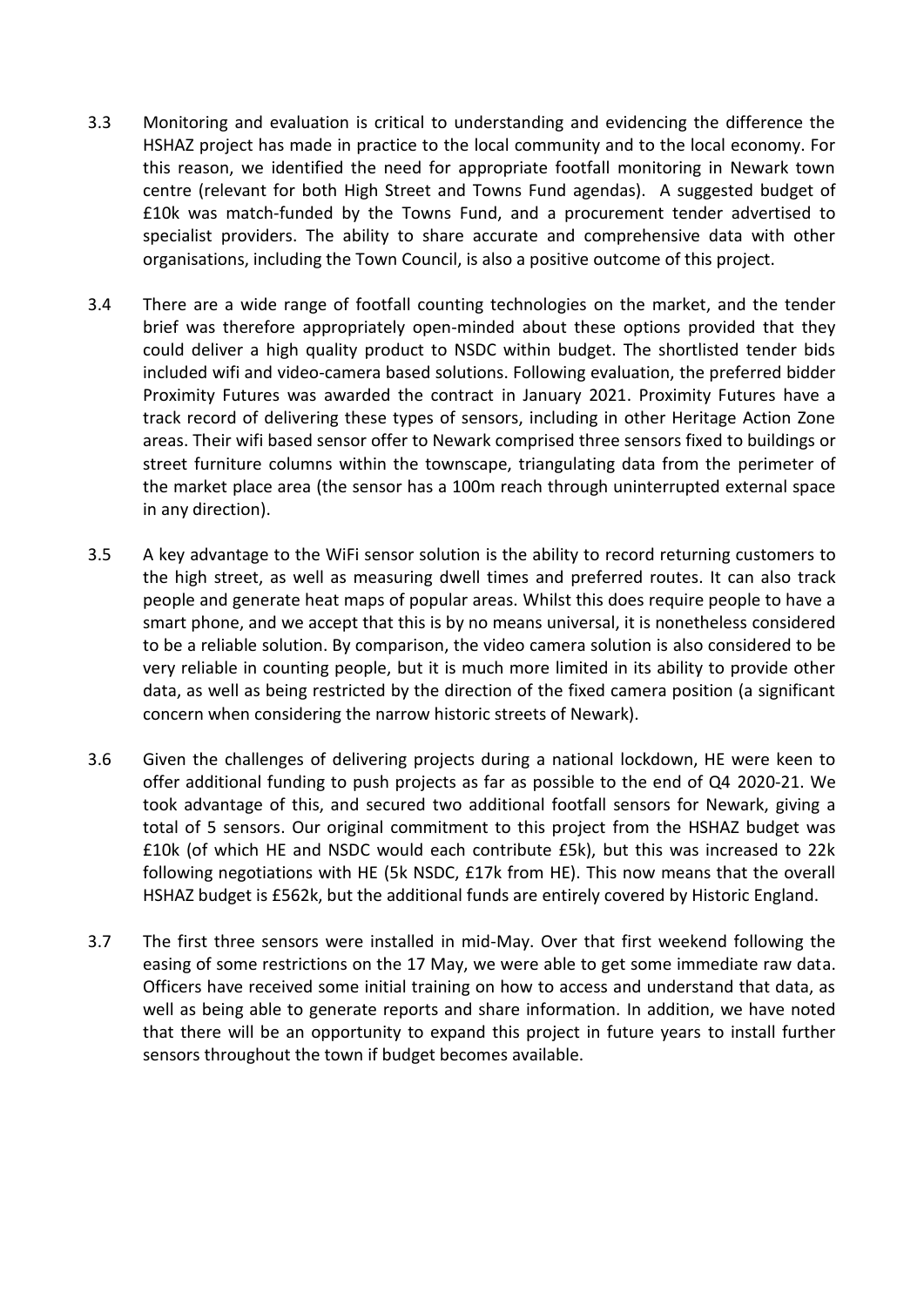- 3.3 Monitoring and evaluation is critical to understanding and evidencing the difference the HSHAZ project has made in practice to the local community and to the local economy. For this reason, we identified the need for appropriate footfall monitoring in Newark town centre (relevant for both High Street and Towns Fund agendas). A suggested budget of £10k was match-funded by the Towns Fund, and a procurement tender advertised to specialist providers. The ability to share accurate and comprehensive data with other organisations, including the Town Council, is also a positive outcome of this project.
- 3.4 There are a wide range of footfall counting technologies on the market, and the tender brief was therefore appropriately open-minded about these options provided that they could deliver a high quality product to NSDC within budget. The shortlisted tender bids included wifi and video-camera based solutions. Following evaluation, the preferred bidder Proximity Futures was awarded the contract in January 2021. Proximity Futures have a track record of delivering these types of sensors, including in other Heritage Action Zone areas. Their wifi based sensor offer to Newark comprised three sensors fixed to buildings or street furniture columns within the townscape, triangulating data from the perimeter of the market place area (the sensor has a 100m reach through uninterrupted external space in any direction).
- 3.5 A key advantage to the WiFi sensor solution is the ability to record returning customers to the high street, as well as measuring dwell times and preferred routes. It can also track people and generate heat maps of popular areas. Whilst this does require people to have a smart phone, and we accept that this is by no means universal, it is nonetheless considered to be a reliable solution. By comparison, the video camera solution is also considered to be very reliable in counting people, but it is much more limited in its ability to provide other data, as well as being restricted by the direction of the fixed camera position (a significant concern when considering the narrow historic streets of Newark).
- 3.6 Given the challenges of delivering projects during a national lockdown, HE were keen to offer additional funding to push projects as far as possible to the end of Q4 2020-21. We took advantage of this, and secured two additional footfall sensors for Newark, giving a total of 5 sensors. Our original commitment to this project from the HSHAZ budget was £10k (of which HE and NSDC would each contribute £5k), but this was increased to 22k following negotiations with HE (5k NSDC, £17k from HE). This now means that the overall HSHAZ budget is £562k, but the additional funds are entirely covered by Historic England.
- 3.7 The first three sensors were installed in mid-May. Over that first weekend following the easing of some restrictions on the 17 May, we were able to get some immediate raw data. Officers have received some initial training on how to access and understand that data, as well as being able to generate reports and share information. In addition, we have noted that there will be an opportunity to expand this project in future years to install further sensors throughout the town if budget becomes available.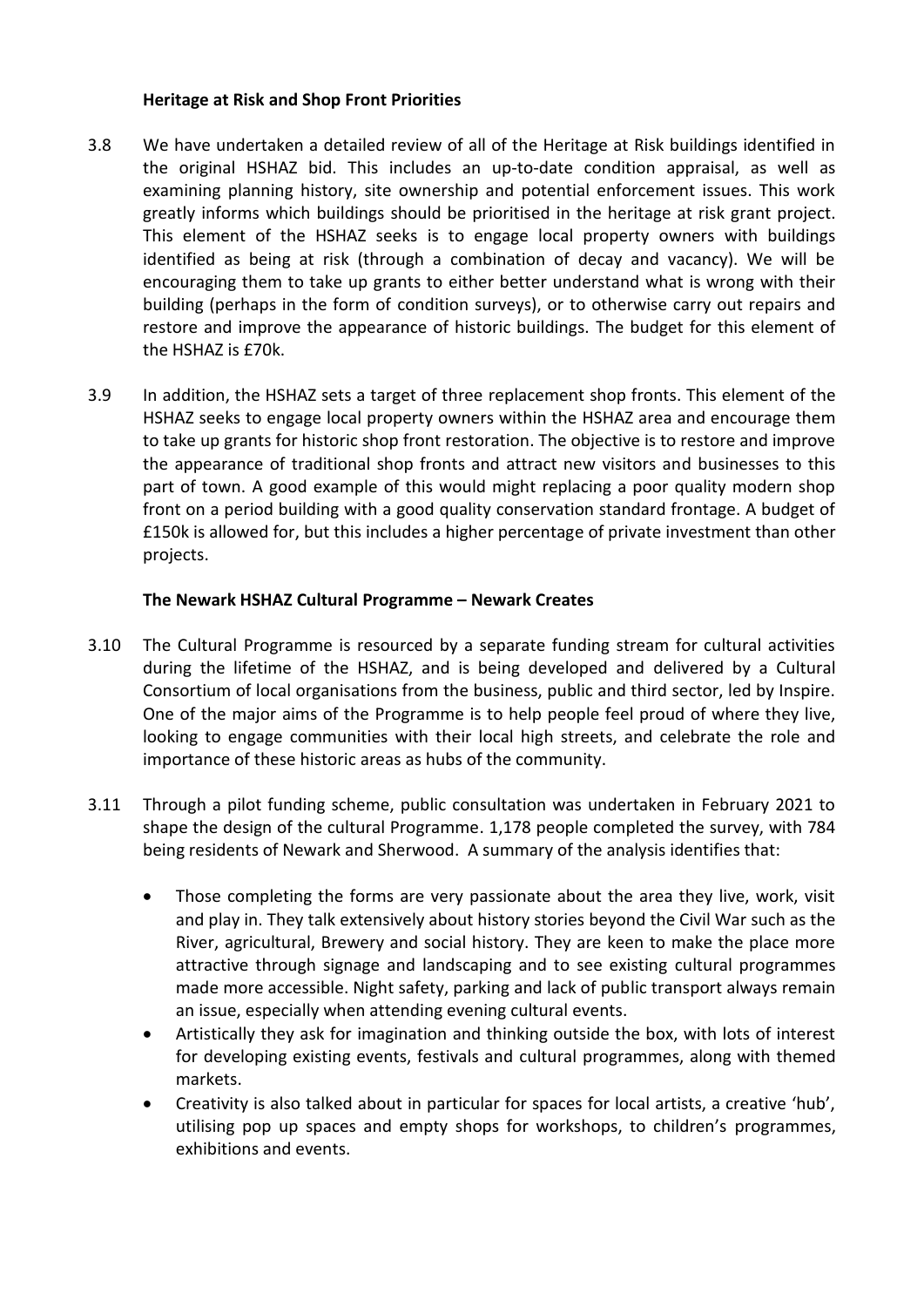### **Heritage at Risk and Shop Front Priorities**

- 3.8 We have undertaken a detailed review of all of the Heritage at Risk buildings identified in the original HSHAZ bid. This includes an up-to-date condition appraisal, as well as examining planning history, site ownership and potential enforcement issues. This work greatly informs which buildings should be prioritised in the heritage at risk grant project. This element of the HSHAZ seeks is to engage local property owners with buildings identified as being at risk (through a combination of decay and vacancy). We will be encouraging them to take up grants to either better understand what is wrong with their building (perhaps in the form of condition surveys), or to otherwise carry out repairs and restore and improve the appearance of historic buildings. The budget for this element of the HSHAZ is £70k.
- 3.9 In addition, the HSHAZ sets a target of three replacement shop fronts. This element of the HSHAZ seeks to engage local property owners within the HSHAZ area and encourage them to take up grants for historic shop front restoration. The objective is to restore and improve the appearance of traditional shop fronts and attract new visitors and businesses to this part of town. A good example of this would might replacing a poor quality modern shop front on a period building with a good quality conservation standard frontage. A budget of £150k is allowed for, but this includes a higher percentage of private investment than other projects.

## **The Newark HSHAZ Cultural Programme – Newark Creates**

- 3.10 The Cultural Programme is resourced by a separate funding stream for cultural activities during the lifetime of the HSHAZ, and is being developed and delivered by a Cultural Consortium of local organisations from the business, public and third sector, led by Inspire. One of the major aims of the Programme is to help people feel proud of where they live, looking to engage communities with their local high streets, and celebrate the role and importance of these historic areas as hubs of the community.
- 3.11 Through a pilot funding scheme, public consultation was undertaken in February 2021 to shape the design of the cultural Programme. 1,178 people completed the survey, with 784 being residents of Newark and Sherwood. A summary of the analysis identifies that:
	- Those completing the forms are very passionate about the area they live, work, visit and play in. They talk extensively about history stories beyond the Civil War such as the River, agricultural, Brewery and social history. They are keen to make the place more attractive through signage and landscaping and to see existing cultural programmes made more accessible. Night safety, parking and lack of public transport always remain an issue, especially when attending evening cultural events.
	- Artistically they ask for imagination and thinking outside the box, with lots of interest for developing existing events, festivals and cultural programmes, along with themed markets.
	- Creativity is also talked about in particular for spaces for local artists, a creative 'hub', utilising pop up spaces and empty shops for workshops, to children's programmes, exhibitions and events.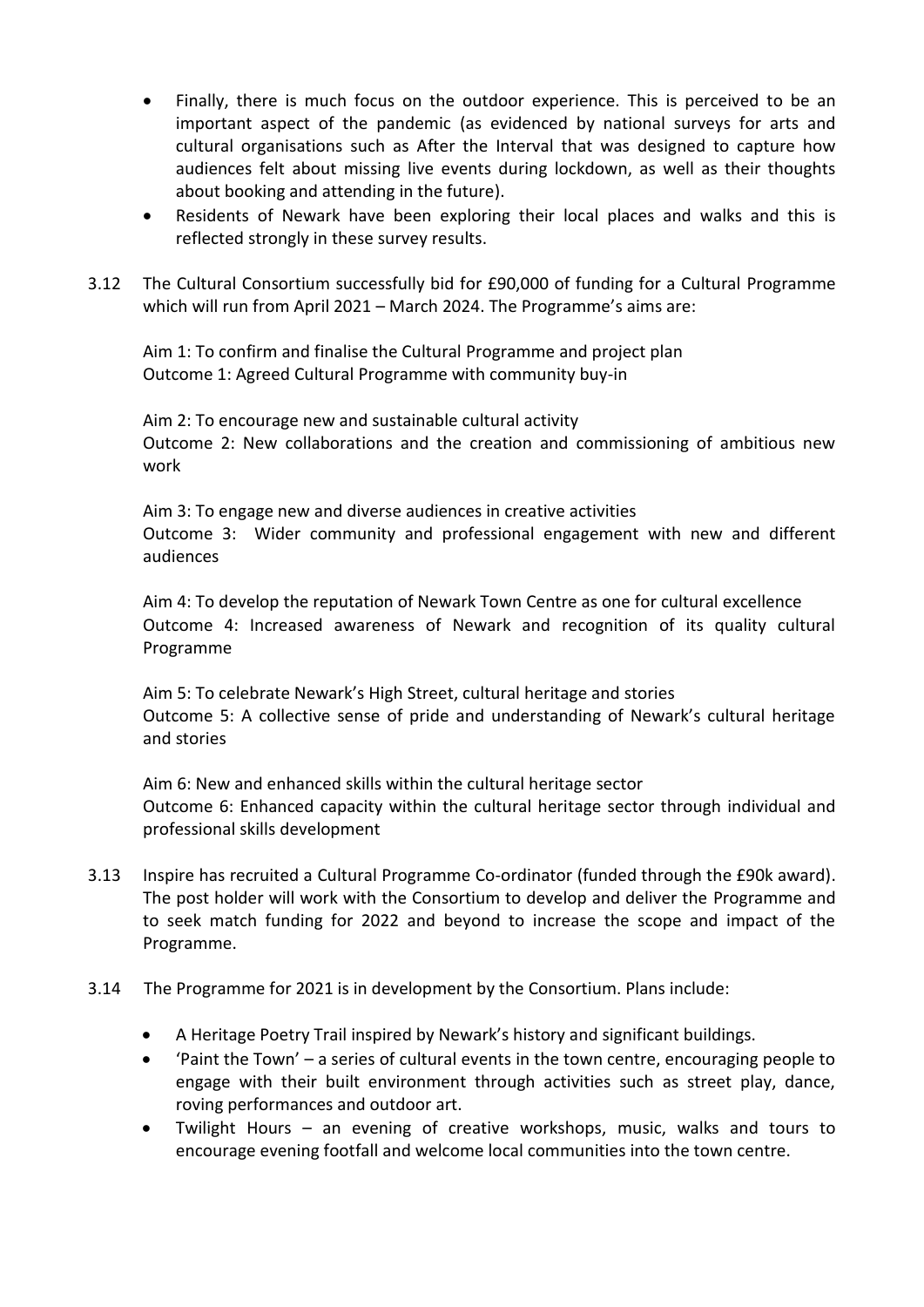- Finally, there is much focus on the outdoor experience. This is perceived to be an important aspect of the pandemic (as evidenced by national surveys for arts and cultural organisations such as After the Interval that was designed to capture how audiences felt about missing live events during lockdown, as well as their thoughts about booking and attending in the future).
- Residents of Newark have been exploring their local places and walks and this is reflected strongly in these survey results.
- 3.12 The Cultural Consortium successfully bid for £90,000 of funding for a Cultural Programme which will run from April 2021 – March 2024. The Programme's aims are:

Aim 1: To confirm and finalise the Cultural Programme and project plan Outcome 1: Agreed Cultural Programme with community buy-in

Aim 2: To encourage new and sustainable cultural activity Outcome 2: New collaborations and the creation and commissioning of ambitious new work

Aim 3: To engage new and diverse audiences in creative activities Outcome 3: Wider community and professional engagement with new and different audiences

Aim 4: To develop the reputation of Newark Town Centre as one for cultural excellence Outcome 4: Increased awareness of Newark and recognition of its quality cultural Programme

Aim 5: To celebrate Newark's High Street, cultural heritage and stories Outcome 5: A collective sense of pride and understanding of Newark's cultural heritage and stories

Aim 6: New and enhanced skills within the cultural heritage sector Outcome 6: Enhanced capacity within the cultural heritage sector through individual and professional skills development

- 3.13 Inspire has recruited a Cultural Programme Co-ordinator (funded through the £90k award). The post holder will work with the Consortium to develop and deliver the Programme and to seek match funding for 2022 and beyond to increase the scope and impact of the Programme.
- 3.14 The Programme for 2021 is in development by the Consortium. Plans include:
	- A Heritage Poetry Trail inspired by Newark's history and significant buildings.
	- 'Paint the Town' a series of cultural events in the town centre, encouraging people to engage with their built environment through activities such as street play, dance, roving performances and outdoor art.
	- Twilight Hours an evening of creative workshops, music, walks and tours to encourage evening footfall and welcome local communities into the town centre.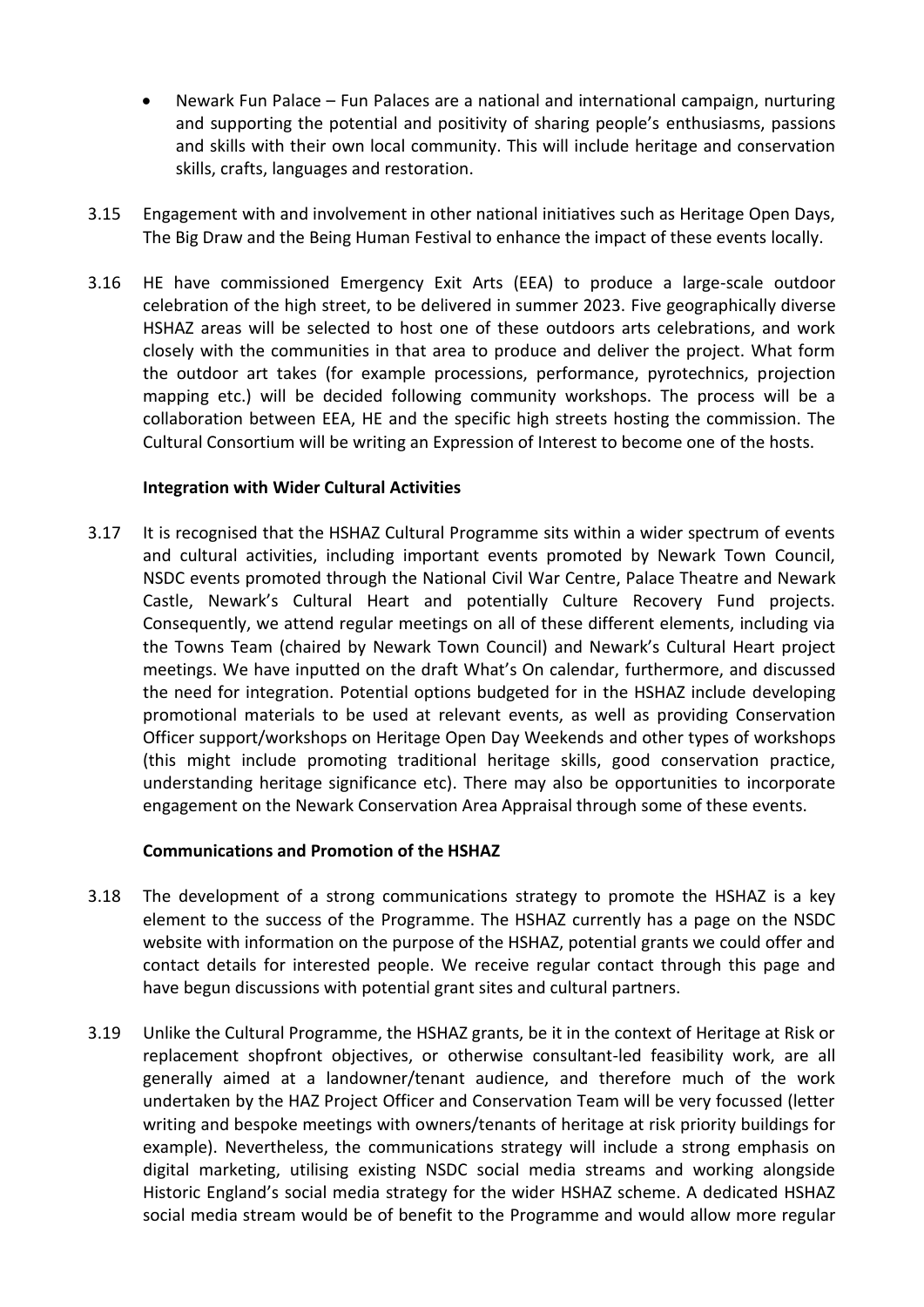- Newark Fun Palace Fun Palaces are a national and international campaign, nurturing and supporting the potential and positivity of sharing people's enthusiasms, passions and skills with their own local community. This will include heritage and conservation skills, crafts, languages and restoration.
- 3.15 Engagement with and involvement in other national initiatives such as Heritage Open Days, The Big Draw and the Being Human Festival to enhance the impact of these events locally.
- 3.16 HE have commissioned Emergency Exit Arts (EEA) to produce a large-scale outdoor celebration of the high street, to be delivered in summer 2023. Five geographically diverse HSHAZ areas will be selected to host one of these outdoors arts celebrations, and work closely with the communities in that area to produce and deliver the project. What form the outdoor art takes (for example processions, performance, pyrotechnics, projection mapping etc.) will be decided following community workshops. The process will be a collaboration between EEA, HE and the specific high streets hosting the commission. The Cultural Consortium will be writing an Expression of Interest to become one of the hosts.

### **Integration with Wider Cultural Activities**

3.17 It is recognised that the HSHAZ Cultural Programme sits within a wider spectrum of events and cultural activities, including important events promoted by Newark Town Council, NSDC events promoted through the National Civil War Centre, Palace Theatre and Newark Castle, Newark's Cultural Heart and potentially Culture Recovery Fund projects. Consequently, we attend regular meetings on all of these different elements, including via the Towns Team (chaired by Newark Town Council) and Newark's Cultural Heart project meetings. We have inputted on the draft What's On calendar, furthermore, and discussed the need for integration. Potential options budgeted for in the HSHAZ include developing promotional materials to be used at relevant events, as well as providing Conservation Officer support/workshops on Heritage Open Day Weekends and other types of workshops (this might include promoting traditional heritage skills, good conservation practice, understanding heritage significance etc). There may also be opportunities to incorporate engagement on the Newark Conservation Area Appraisal through some of these events.

### **Communications and Promotion of the HSHAZ**

- 3.18 The development of a strong communications strategy to promote the HSHAZ is a key element to the success of the Programme. The HSHAZ currently has a page on the NSDC website with information on the purpose of the HSHAZ, potential grants we could offer and contact details for interested people. We receive regular contact through this page and have begun discussions with potential grant sites and cultural partners.
- 3.19 Unlike the Cultural Programme, the HSHAZ grants, be it in the context of Heritage at Risk or replacement shopfront objectives, or otherwise consultant-led feasibility work, are all generally aimed at a landowner/tenant audience, and therefore much of the work undertaken by the HAZ Project Officer and Conservation Team will be very focussed (letter writing and bespoke meetings with owners/tenants of heritage at risk priority buildings for example). Nevertheless, the communications strategy will include a strong emphasis on digital marketing, utilising existing NSDC social media streams and working alongside Historic England's social media strategy for the wider HSHAZ scheme. A dedicated HSHAZ social media stream would be of benefit to the Programme and would allow more regular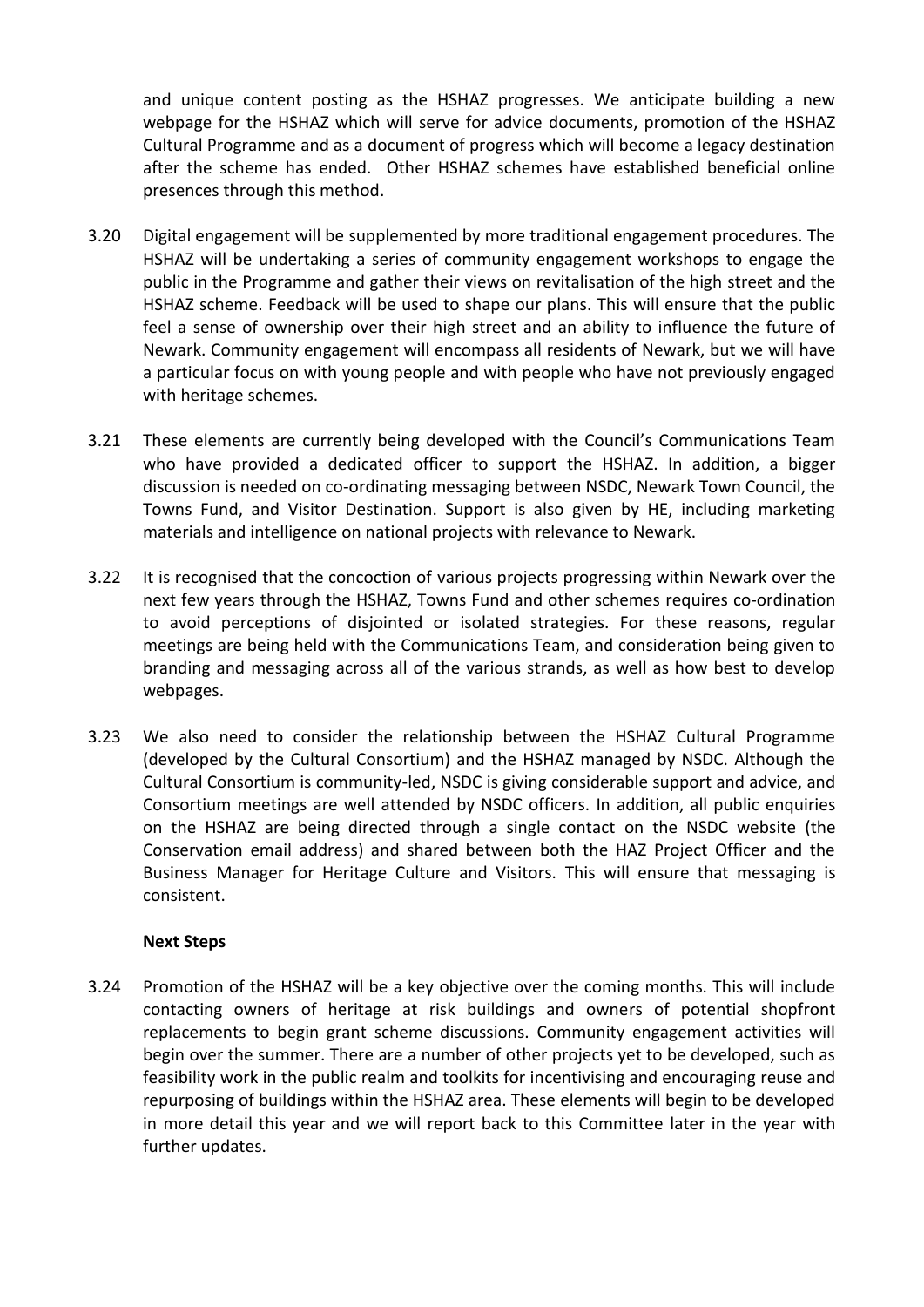and unique content posting as the HSHAZ progresses. We anticipate building a new webpage for the HSHAZ which will serve for advice documents, promotion of the HSHAZ Cultural Programme and as a document of progress which will become a legacy destination after the scheme has ended. Other HSHAZ schemes have established beneficial online presences through this method.

- 3.20 Digital engagement will be supplemented by more traditional engagement procedures. The HSHAZ will be undertaking a series of community engagement workshops to engage the public in the Programme and gather their views on revitalisation of the high street and the HSHAZ scheme. Feedback will be used to shape our plans. This will ensure that the public feel a sense of ownership over their high street and an ability to influence the future of Newark. Community engagement will encompass all residents of Newark, but we will have a particular focus on with young people and with people who have not previously engaged with heritage schemes.
- 3.21 These elements are currently being developed with the Council's Communications Team who have provided a dedicated officer to support the HSHAZ. In addition, a bigger discussion is needed on co-ordinating messaging between NSDC, Newark Town Council, the Towns Fund, and Visitor Destination. Support is also given by HE, including marketing materials and intelligence on national projects with relevance to Newark.
- 3.22 It is recognised that the concoction of various projects progressing within Newark over the next few years through the HSHAZ, Towns Fund and other schemes requires co-ordination to avoid perceptions of disjointed or isolated strategies. For these reasons, regular meetings are being held with the Communications Team, and consideration being given to branding and messaging across all of the various strands, as well as how best to develop webpages.
- 3.23 We also need to consider the relationship between the HSHAZ Cultural Programme (developed by the Cultural Consortium) and the HSHAZ managed by NSDC. Although the Cultural Consortium is community-led, NSDC is giving considerable support and advice, and Consortium meetings are well attended by NSDC officers. In addition, all public enquiries on the HSHAZ are being directed through a single contact on the NSDC website (the Conservation email address) and shared between both the HAZ Project Officer and the Business Manager for Heritage Culture and Visitors. This will ensure that messaging is consistent.

### **Next Steps**

3.24 Promotion of the HSHAZ will be a key objective over the coming months. This will include contacting owners of heritage at risk buildings and owners of potential shopfront replacements to begin grant scheme discussions. Community engagement activities will begin over the summer. There are a number of other projects yet to be developed, such as feasibility work in the public realm and toolkits for incentivising and encouraging reuse and repurposing of buildings within the HSHAZ area. These elements will begin to be developed in more detail this year and we will report back to this Committee later in the year with further updates.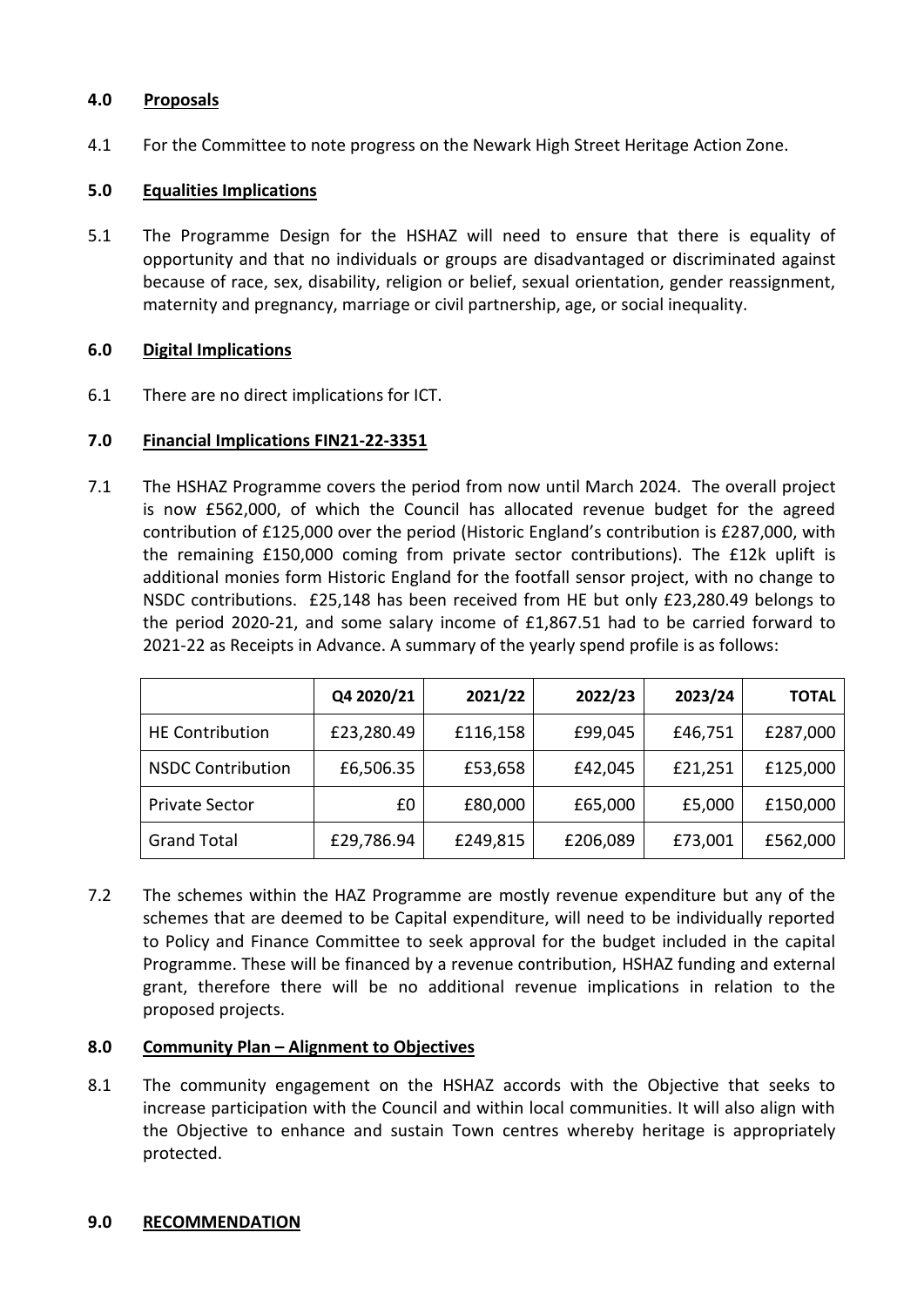## **4.0 Proposals**

4.1 For the Committee to note progress on the Newark High Street Heritage Action Zone.

## **5.0 Equalities Implications**

5.1 The Programme Design for the HSHAZ will need to ensure that there is equality of opportunity and that no individuals or groups are disadvantaged or discriminated against because of race, sex, disability, religion or belief, sexual orientation, gender reassignment, maternity and pregnancy, marriage or civil partnership, age, or social inequality.

## **6.0 Digital Implications**

6.1 There are no direct implications for ICT.

## **7.0 Financial Implications FIN21-22-3351**

7.1 The HSHAZ Programme covers the period from now until March 2024. The overall project is now £562,000, of which the Council has allocated revenue budget for the agreed contribution of £125,000 over the period (Historic England's contribution is £287,000, with the remaining £150,000 coming from private sector contributions). The £12k uplift is additional monies form Historic England for the footfall sensor project, with no change to NSDC contributions. £25,148 has been received from HE but only £23,280.49 belongs to the period 2020-21, and some salary income of £1,867.51 had to be carried forward to 2021-22 as Receipts in Advance. A summary of the yearly spend profile is as follows:

|                          | Q4 2020/21 | 2021/22  | 2022/23  | 2023/24 | <b>TOTAL</b> |
|--------------------------|------------|----------|----------|---------|--------------|
| <b>HE Contribution</b>   | £23,280.49 | £116,158 | £99,045  | £46,751 | £287,000     |
| <b>NSDC Contribution</b> | £6,506.35  | £53,658  | £42,045  | £21,251 | £125,000     |
| <b>Private Sector</b>    | £0         | £80,000  | £65,000  | £5,000  | £150,000     |
| <b>Grand Total</b>       | £29,786.94 | £249,815 | £206,089 | £73,001 | £562,000     |

7.2 The schemes within the HAZ Programme are mostly revenue expenditure but any of the schemes that are deemed to be Capital expenditure, will need to be individually reported to Policy and Finance Committee to seek approval for the budget included in the capital Programme. These will be financed by a revenue contribution, HSHAZ funding and external grant, therefore there will be no additional revenue implications in relation to the proposed projects.

### **8.0 Community Plan – Alignment to Objectives**

8.1 The community engagement on the HSHAZ accords with the Objective that seeks to increase participation with the Council and within local communities. It will also align with the Objective to enhance and sustain Town centres whereby heritage is appropriately protected.

### **9.0 RECOMMENDATION**